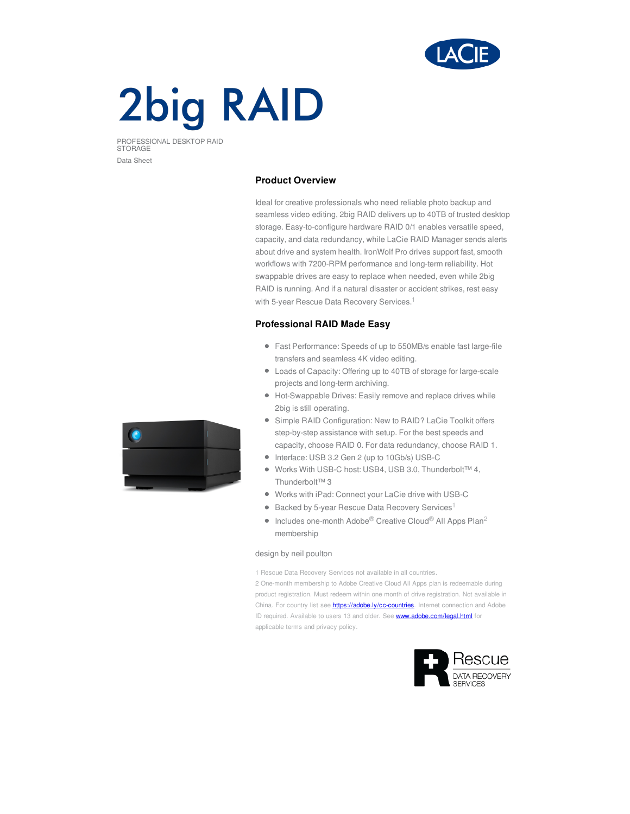

# **2big RAID**

PROFESSIONAL DESKTOP RAID STORAGE Data Sheet

# **Product Overview**

Ideal for creative professionals who need reliable photo backup and seamless video editing, 2big RAID delivers up to 40TB of trusted desktop storage. Easy-to-configure hardware RAID 0/1 enables versatile speed, capacity, and data redundancy, while LaCie RAID Manager sends alerts about drive and system health. IronWolf Pro drives support fast, smooth workflows with 7200-RPM performance and long-term reliability. Hot swappable drives are easy to replace when needed, even while 2big RAID is running. And if a natural disaster or accident strikes, rest easy with 5-year Rescue Data Recovery Services.<sup>1</sup>

# **Professional RAID Made Easy**

- Fast Performance: Speeds of up to 550MB/s enable fast large-file transfers and seamless 4K video editing.
- Loads of Capacity: Offering up to 40TB of storage for large-scale projects and long-term archiving.
- Hot-Swappable Drives: Easily remove and replace drives while 2big is still operating.
- Simple RAID Configuration: New to RAID? LaCie Toolkit offers step-by-step assistance with setup. For the best speeds and capacity, choose RAID 0. For data redundancy, choose RAID 1.
- Interface: USB 3.2 Gen 2 (up to 10Gb/s) USB-C
- Works With USB-C host: USB4, USB 3.0, Thunderbolt™ 4, Thunderbolt™ 3
- Works with iPad: Connect your LaCie drive with USB-C
- Backed by 5-year Rescue Data Recovery Services<sup>1</sup>
- Includes one-month Adobe<sup>®</sup> Creative Cloud<sup>®</sup> All Apps Plan<sup>2</sup>  $\bullet$ membership

### design by neil poulton

1 Rescue Data Recovery Services not available in all countries.

2 One-month membership to Adobe Creative Cloud All Apps plan is redeemable during product registration. Must redeem within one month of drive registration. Not available in China. For country list see **<https://adobe.ly/cc-countries>**. Internet connection and Adobe ID required. Available to users 13 and older. See **<www.adobe.com/legal.html>** for applicable terms and privacy policy.